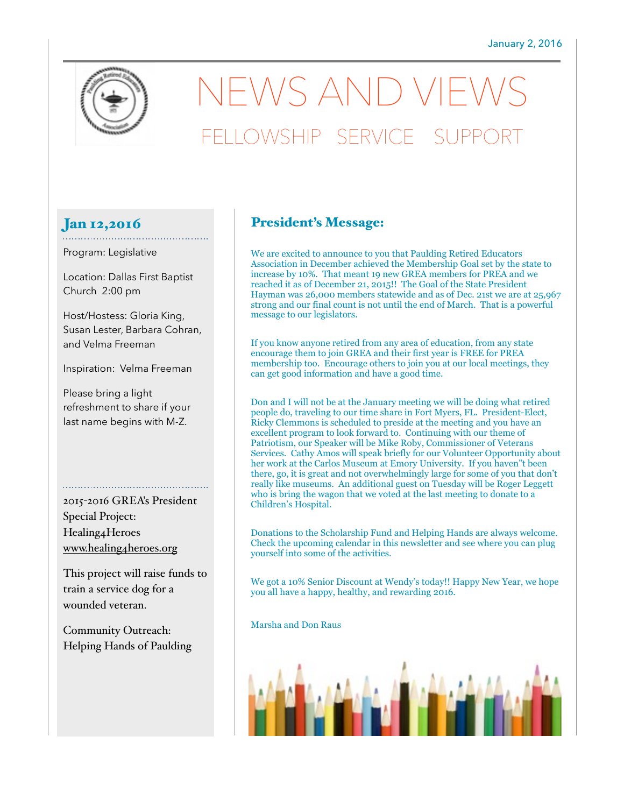

# $EWS$  AND VIE FELLOWSHIP SERVICE

#### Jan 12,2016

Program: Legislative

Location: Dallas First Baptist Church 2:00 pm

. . . . . . . . . . . . . . . . . . . .

Host/Hostess: Gloria King, Susan Lester, Barbara Cohran, and Velma Freeman

Inspiration: Velma Freeman

Please bring a light refreshment to share if your last name begins with M-Z.

2015-2016 GREA's President Special Project: Healing4Heroes [www.healing4heroes.org](http://www.healing4heroes.org) 

This project will raise funds to train a service dog for a wounded veteran.

Community Outreach: Helping Hands of Paulding

### President's Message:

We are excited to announce to you that Paulding Retired Educators Association in December achieved the Membership Goal set by the state to increase by 10%. That meant 19 new GREA members for PREA and we reached it as of December 21, 2015!! The Goal of the State President Hayman was 26,000 members statewide and as of Dec. 21st we are at 25,967 strong and our final count is not until the end of March. That is a powerful message to our legislators.

If you know anyone retired from any area of education, from any state encourage them to join GREA and their first year is FREE for PREA membership too. Encourage others to join you at our local meetings, they can get good information and have a good time.

Don and I will not be at the January meeting we will be doing what retired people do, traveling to our time share in Fort Myers, FL. President-Elect, Ricky Clemmons is scheduled to preside at the meeting and you have an excellent program to look forward to. Continuing with our theme of Patriotism, our Speaker will be Mike Roby, Commissioner of Veterans Services. Cathy Amos will speak briefly for our Volunteer Opportunity about her work at the Carlos Museum at Emory University. If you haven"t been there, go, it is great and not overwhelmingly large for some of you that don't really like museums. An additional guest on Tuesday will be Roger Leggett who is bring the wagon that we voted at the last meeting to donate to a Children's Hospital.

Donations to the Scholarship Fund and Helping Hands are always welcome. Check the upcoming calendar in this newsletter and see where you can plug yourself into some of the activities.

We got a 10% Senior Discount at Wendy's today!! Happy New Year, we hope you all have a happy, healthy, and rewarding 2016.

Marsha and Don Raus

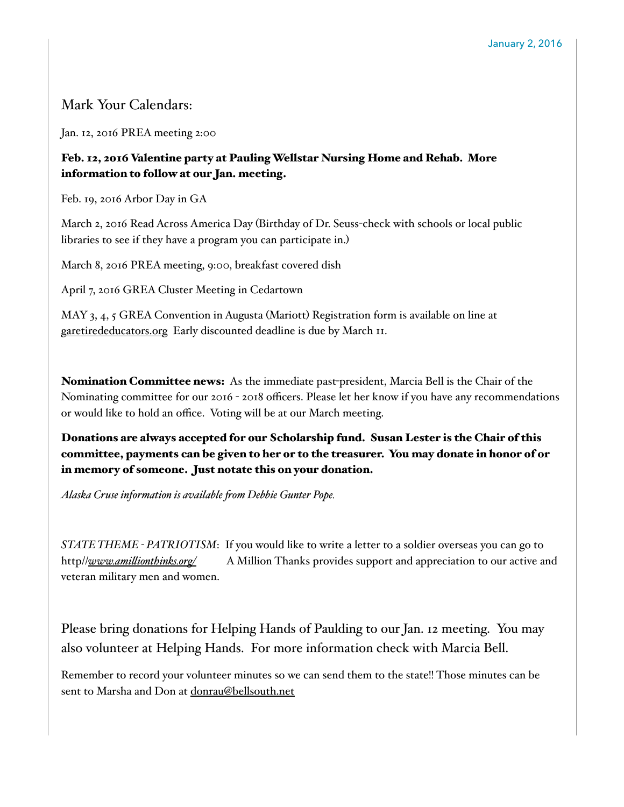## Mark Your Calendars:

Jan. 12, 2016 PREA meeting 2:00

#### Feb. 12, 2016 Valentine party at Pauling Wellstar Nursing Home and Rehab. More information to follow at our Jan. meeting.

Feb. 19, 2016 Arbor Day in GA

March 2, 2016 Read Across America Day (Birthday of Dr. Seuss-check with schools or local public libraries to see if they have a program you can participate in.)

March 8, 2016 PREA meeting, 9:00, breakfast covered dish

April 7, 2016 GREA Cluster Meeting in Cedartown

MAY 3, 4, 5 GREA Convention in Augusta (Mariott) Registration form is available on line at [garetirededucators.org](http://garetirededucators.org) Early discounted deadline is due by March 11.

Nomination Committee news: As the immediate past-president, Marcia Bell is the Chair of the Nominating committee for our 2016 - 2018 officers. Please let her know if you have any recommendations or would like to hold an office. Voting will be at our March meeting.

Donations are always accepted for our Scholarship fund. Susan Lester is the Chair of this committee, payments can be given to her or to the treasurer. You may donate in honor of or in memory of someone. Just notate this on your donation.

*Alaska Cruse information is available !om Debbie Gunter Pope.*

*STATE THEME - PATRIOTISM*: If you would like to write a letter to a soldier overseas you can go to http//*www.ami#[ionthinks.org/](http://www.amillionthinks.org/)* A Million Thanks provides support and appreciation to our active and veteran military men and women.

Please bring donations for Helping Hands of Paulding to our Jan. 12 meeting. You may also volunteer at Helping Hands. For more information check with Marcia Bell.

Remember to record your volunteer minutes so we can send them to the state!! Those minutes can be sent to Marsha and Don at [donrau@bellsouth.net](mailto:donrau@bellsouth.net)